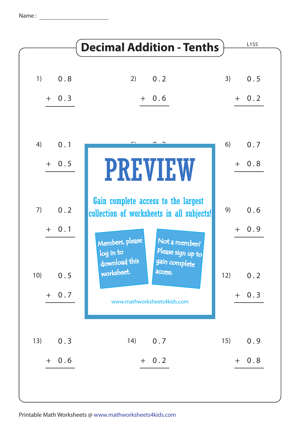